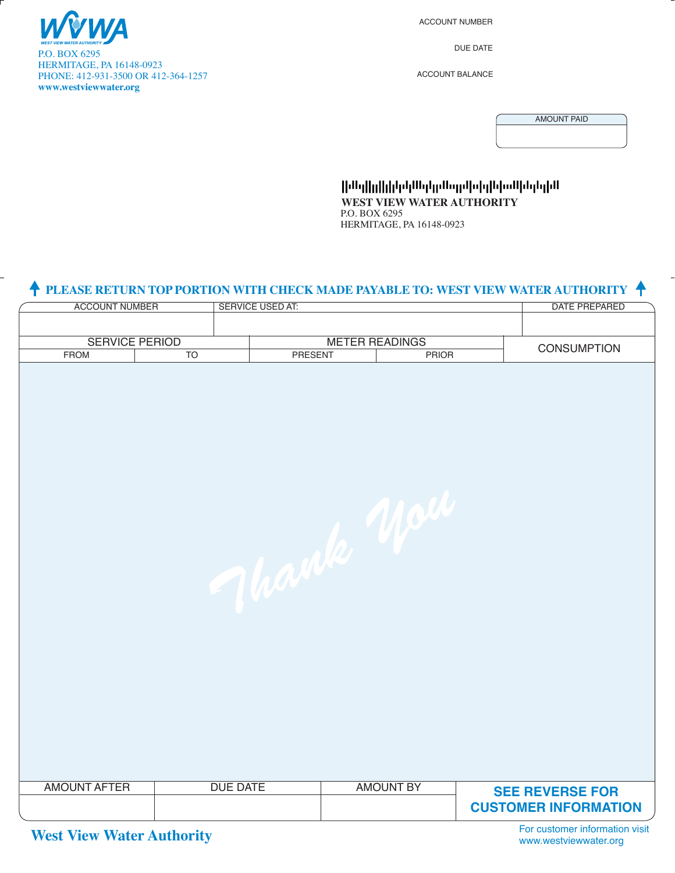

 $\overline{a}$ 

ACCOUNT NUMBER

DUE DATE

ACCOUNT BALANCE

AMOUNT PAID

Ովերիկի կարողական կարող երկան կարող են **WEST VIEW WATER AUTHORITY** P.O. BOX 6295 HERMITAGE, PA 16148-0923

#### **PLEASE RETURN TOP PORTION WITH CHECK MADE PAYABLE TO: WEST VIEW WATER AUTHORITY**  $\uparrow$

| <b>ACCOUNT NUMBER</b>    |  | SERVICE USED AT:              |                         |                  |                    | DATE PREPARED                         |
|--------------------------|--|-------------------------------|-------------------------|------------------|--------------------|---------------------------------------|
|                          |  |                               |                         |                  |                    |                                       |
| <b>SERVICE PERIOD</b>    |  |                               | <b>METER READINGS</b>   |                  |                    |                                       |
| <b>FROM</b><br><b>TO</b> |  |                               | PRESENT<br><b>PRIOR</b> |                  | <b>CONSUMPTION</b> |                                       |
| <b>AMOUNT AFTER</b>      |  | March Mach<br><b>DUE DATE</b> |                         | <b>AMOUNT BY</b> |                    | <b>SEE REVERSE FOR</b>                |
|                          |  |                               |                         |                  |                    | <b>CUSTOMER INFORMATION</b>           |
|                          |  |                               |                         |                  |                    | Fax attacked and information of sixth |

**West View Water Authority** 

For customer information visit www.westviewwater.org